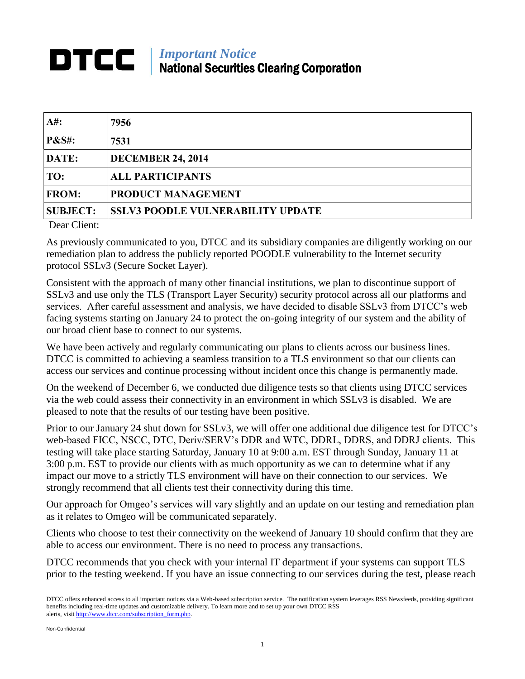## *Important Notice* DTCC I National Securities Clearing Corporation

| At:              | 7956                                     |
|------------------|------------------------------------------|
| <b>P&amp;S#:</b> | 7531                                     |
| DATE:            | <b>DECEMBER 24, 2014</b>                 |
| TO:              | <b>ALL PARTICIPANTS</b>                  |
| <b>FROM:</b>     | PRODUCT MANAGEMENT                       |
| <b>SUBJECT:</b>  | <b>SSLV3 POODLE VULNERABILITY UPDATE</b> |

Dear Client:

As previously communicated to you, DTCC and its subsidiary companies are diligently working on our remediation plan to address the publicly reported POODLE vulnerability to the Internet security protocol SSLv3 (Secure Socket Layer).

Consistent with the approach of many other financial institutions, we plan to discontinue support of SSLv3 and use only the TLS (Transport Layer Security) security protocol across all our platforms and services. After careful assessment and analysis, we have decided to disable SSLv3 from DTCC's web facing systems starting on January 24 to protect the on-going integrity of our system and the ability of our broad client base to connect to our systems.

We have been actively and regularly communicating our plans to clients across our business lines. DTCC is committed to achieving a seamless transition to a TLS environment so that our clients can access our services and continue processing without incident once this change is permanently made.

On the weekend of December 6, we conducted due diligence tests so that clients using DTCC services via the web could assess their connectivity in an environment in which SSLv3 is disabled. We are pleased to note that the results of our testing have been positive.

Prior to our January 24 shut down for SSLv3, we will offer one additional due diligence test for DTCC's web-based FICC, NSCC, DTC, Deriv/SERV's DDR and WTC, DDRL, DDRS, and DDRJ clients. This testing will take place starting Saturday, January 10 at 9:00 a.m. EST through Sunday, January 11 at 3:00 p.m. EST to provide our clients with as much opportunity as we can to determine what if any impact our move to a strictly TLS environment will have on their connection to our services. We strongly recommend that all clients test their connectivity during this time.

Our approach for Omgeo's services will vary slightly and an update on our testing and remediation plan as it relates to Omgeo will be communicated separately.

Clients who choose to test their connectivity on the weekend of January 10 should confirm that they are able to access our environment. There is no need to process any transactions.

DTCC recommends that you check with your internal IT department if your systems can support TLS prior to the testing weekend. If you have an issue connecting to our services during the test, please reach

DTCC offers enhanced access to all important notices via a Web-based subscription service. The notification system leverages RSS Newsfeeds, providing significant benefits including real-time updates and customizable delivery. To learn more and to set up your own DTCC RSS alerts, visit [http://www.dtcc.com/subscription\\_form.php.](http://www.dtcc.com/subscription_form.php)